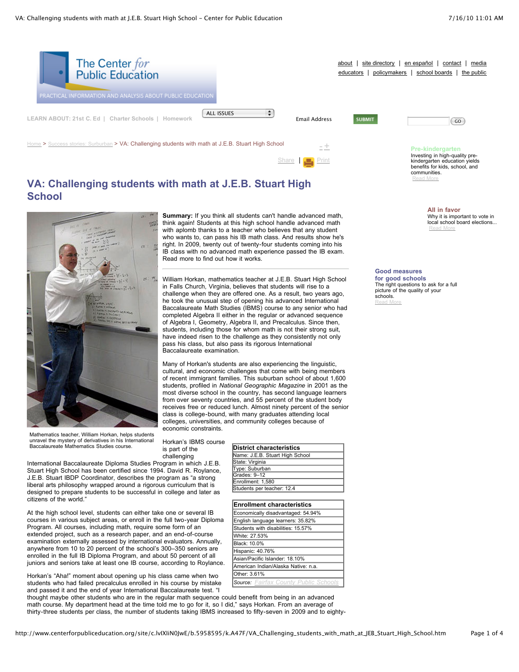

[Share](javascript:void(0)) | [Print](javascript:CallPrint()

Investing in high-quality prekindergarten education yields benefits for kids, school, and communities. [Read](http://www.centerforpubliceducation.org/site/lookup.asp?c=lvIXIiN0JwE&b=5137859) More

> **All in favor** Why it is important to vote in local school board elections... [Read](http://www.centerforpubliceducation.org/site/lookup.asp?c=lvIXIiN0JwE&b=5137871) More

# **VA: Challenging students with math at J.E.B. Stuart High School**



**Summary:** If you think all students can't handle advanced math, think again! Students at this high school handle advanced math with aplomb thanks to a teacher who believes that any student who wants to, can pass his IB math class. And results show he's right. In 2009, twenty out of twenty-four students coming into his IB class with no advanced math experience passed the IB exam. Read more to find out how it works.

William Horkan, mathematics teacher at J.E.B. Stuart High School in Falls Church, Virginia, believes that students will rise to a challenge when they are offered one. As a result, two years ago, he took the unusual step of opening his advanced International Baccalaureate Math Studies (IBMS) course to any senior who had completed Algebra II either in the regular or advanced sequence of Algebra I, Geometry, Algebra II, and Precalculus. Since then, students, including those for whom math is not their strong suit, have indeed risen to the challenge as they consistently not only pass his class, but also pass its rigorous International Baccalaureate examination.

Many of Horkan's students are also experiencing the linguistic, cultural, and economic challenges that come with being members of recent immigrant families. This suburban school of about 1,600 students, profiled in *National Geographic Magazine* in 2001 as the most diverse school in the country, has second language learners from over seventy countries, and 55 percent of the student body receives free or reduced lunch. Almost ninety percent of the senior class is college-bound, with many graduates attending local colleges, universities, and community colleges because of economic constraints.

Mathematics teacher, William Horkan, helps students unravel the mystery of derivatives in his International Baccalaureate Mathematics Studies course.

At the high school level, students can either take one or several IB courses in various subject areas, or enroll in the full two-year Diploma Program. All courses, including math, require some form of an extended project, such as a research paper, and an end-of-course examination externally assessed by international evaluators. Annually, anywhere from 10 to 20 percent of the school's 300–350 seniors are enrolled in the full IB Diploma Program, and about 50 percent of all juniors and seniors take at least one IB course, according to Roylance. Horkan's "Aha!" moment about opening up his class came when two students who had failed precalculus enrolled in his course by mistake

citizens of the world."

Horkan's IBMS course is part of the challenging International Baccalaureate Diploma Studies Program in which

| Baccalaureate Mathematics Studies course.                                                                                                                                                                           | is part of the | District characteristics        |
|---------------------------------------------------------------------------------------------------------------------------------------------------------------------------------------------------------------------|----------------|---------------------------------|
|                                                                                                                                                                                                                     | challenging    | Name: J.E.B. Stuart High School |
| International Baccalaureate Diploma Studies Program in which J.E.B.                                                                                                                                                 |                | State: Virginia                 |
| Stuart High School has been certified since 1994. David R. Roylance,<br>J.E.B. Stuart IBDP Coordinator, describes the program as "a strong"<br>liberal arts philosophy wrapped around a rigorous curriculum that is |                | Type: Suburban                  |
|                                                                                                                                                                                                                     |                | Grades: 9-12                    |
|                                                                                                                                                                                                                     |                | Enrollment: 1.580               |
|                                                                                                                                                                                                                     |                | Students per teacher: 12.4      |
| designed to prepare students to be successful in college and later as                                                                                                                                               |                |                                 |

| <b>Enrollment characteristics</b>            |  |
|----------------------------------------------|--|
| Economically disadvantaged: 54.94%           |  |
| English language learners: 35.82%            |  |
| Students with disabilities: 15.57%           |  |
| White: 27.53%                                |  |
| Black: 10.0%                                 |  |
| Hispanic: 40.76%                             |  |
| Asian/Pacific Islander: 18.10%               |  |
| American Indian/Alaska Native: n.a.          |  |
| Other: 3.61%                                 |  |
| <b>Source:</b> Fairfax County Public Schools |  |

and passed it and the end of year International Baccalaureate test. "I thought maybe other students who are in the regular math sequence could benefit from being in an advanced math course. My department head at the time told me to go for it, so I did," says Horkan. From an average of thirty-three students per class, the number of students taking IBMS increased to fifty-seven in 2009 and to eighty-

### **Good measures**

**for good schools** The right questions to ask for a full picture of the quality of your schools. [Read](http://www.centerforpubliceducation.org/site/lookup.asp?c=lvIXIiN0JwE&b=5137869) More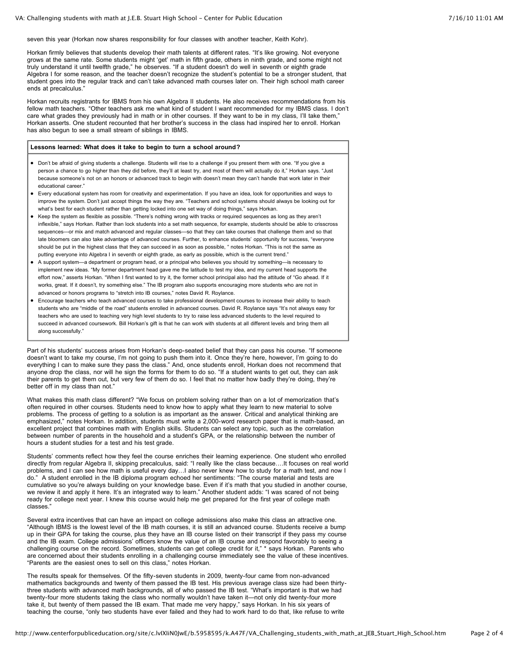seven this year (Horkan now shares responsibility for four classes with another teacher, Keith Kohr).

Horkan firmly believes that students develop their math talents at different rates. "It's like growing. Not everyone grows at the same rate. Some students might 'get' math in fifth grade, others in ninth grade, and some might not truly understand it until twelfth grade," he observes. "If a student doesn't do well in seventh or eighth grade Algebra I for some reason, and the teacher doesn't recognize the student's potential to be a stronger student, that student goes into the regular track and can't take advanced math courses later on. Their high school math career ends at precalculus."

Horkan recruits registrants for IBMS from his own Algebra II students. He also receives recommendations from his fellow math teachers. "Other teachers ask me what kind of student I want recommended for my IBMS class. I don't care what grades they previously had in math or in other courses. If they want to be in my class, I'll take them," Horkan asserts. One student recounted that her brother's success in the class had inspired her to enroll. Horkan has also begun to see a small stream of siblings in IBMS.

#### **Lessons learned: What does it take to begin to turn a school around?**

- Don't be afraid of giving students a challenge. Students will rise to a challenge if you present them with one. "If you give a person a chance to go higher than they did before, they'll at least try, and most of them will actually do it," Horkan says. "Just because someone's not on an honors or advanced track to begin with doesn't mean they can't handle that work later in their educational career."
- Every educational system has room for creativity and experimentation. If you have an idea, look for opportunities and ways to improve the system. Don't just accept things the way they are. "Teachers and school systems should always be looking out for what's best for each student rather than getting locked into one set way of doing things," says Horkan.
- Keep the system as flexible as possible. "There's nothing wrong with tracks or required sequences as long as they aren't inflexible," says Horkan. Rather than lock students into a set math sequence, for example, students should be able to crisscross sequences—or mix and match advanced and regular classes—so that they can take courses that challenge them and so that late bloomers can also take advantage of advanced courses. Further, to enhance students' opportunity for success, "everyone should be put in the highest class that they can succeed in as soon as possible, " notes Horkan. "This is not the same as putting everyone into Algebra I in seventh or eighth grade, as early as possible, which is the current trend."
- A support system—a department or program head, or a principal who believes you should try something—is necessary to implement new ideas. "My former department head gave me the latitude to test my idea, and my current head supports the effort now," asserts Horkan. "When I first wanted to try it, the former school principal also had the attitude of "Go ahead. If it works, great. If it doesn't, try something else." The IB program also supports encouraging more students who are not in advanced or honors programs to "stretch into IB courses," notes David R. Roylance.
- Encourage teachers who teach advanced courses to take professional development courses to increase their ability to teach students who are "middle of the road" students enrolled in advanced courses. David R. Roylance says "It's not always easy for teachers who are used to teaching very high level students to try to raise less advanced students to the level required to succeed in advanced coursework. Bill Horkan's gift is that he can work with students at all different levels and bring them all along successfully."

Part of his students' success arises from Horkan's deep-seated belief that they can pass his course. "If someone doesn't want to take my course, I'm not going to push them into it. Once they're here, however, I'm going to do everything I can to make sure they pass the class." And, once students enroll, Horkan does not recommend that anyone drop the class, nor will he sign the forms for them to do so. "If a student wants to get out, they can ask their parents to get them out, but very few of them do so. I feel that no matter how badly they're doing, they're better off in my class than not."

What makes this math class different? "We focus on problem solving rather than on a lot of memorization that's often required in other courses. Students need to know how to apply what they learn to new material to solve problems. The process of getting to a solution is as important as the answer. Critical and analytical thinking are emphasized," notes Horkan. In addition, students must write a 2,000-word research paper that is math-based, an excellent project that combines math with English skills. Students can select any topic, such as the correlation between number of parents in the household and a student's GPA, or the relationship between the number of hours a student studies for a test and his test grade.

Students' comments reflect how they feel the course enriches their learning experience. One student who enrolled directly from regular Algebra II, skipping precalculus, said: "I really like the class because….It focuses on real world problems, and I can see how math is useful every day…I also never knew how to study for a math test, and now I do." A student enrolled in the IB diploma program echoed her sentiments: "The course material and tests are cumulative so you're always building on your knowledge base. Even if it's math that you studied in another course, we review it and apply it here. It's an integrated way to learn." Another student adds: "I was scared of not being ready for college next year. I knew this course would help me get prepared for the first year of college math classes."

Several extra incentives that can have an impact on college admissions also make this class an attractive one. "Although IBMS is the lowest level of the IB math courses, it is still an advanced course. Students receive a bump up in their GPA for taking the course, plus they have an IB course listed on their transcript if they pass my course and the IB exam. College admissions' officers know the value of an IB course and respond favorably to seeing a challenging course on the record. Sometimes, students can get college credit for it," \* says Horkan. Parents who are concerned about their students enrolling in a challenging course immediately see the value of these incentives. "Parents are the easiest ones to sell on this class," notes Horkan.

The results speak for themselves. Of the fifty-seven students in 2009, twenty-four came from non-advanced mathematics backgrounds and twenty of them passed the IB test. His previous average class size had been thirtythree students with advanced math backgrounds, all of who passed the IB test. "What's important is that we had twenty-four more students taking the class who normally wouldn't have taken it—not only did twenty-four more take it, but twenty of them passed the IB exam. That made me very happy," says Horkan. In his six years of teaching the course, "only two students have ever failed and they had to work hard to do that, like refuse to write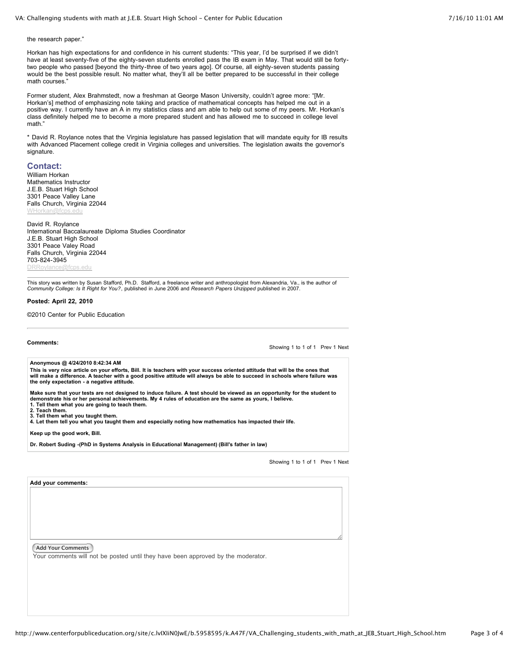the research paper."

Horkan has high expectations for and confidence in his current students: "This year, I'd be surprised if we didn't have at least seventy-five of the eighty-seven students enrolled pass the IB exam in May. That would still be fortytwo people who passed [beyond the thirty-three of two years ago]. Of course, all eighty-seven students passing would be the best possible result. No matter what, they'll all be better prepared to be successful in their college math courses."

Former student, Alex Brahmstedt, now a freshman at George Mason University, couldn't agree more: "[Mr. Horkan's] method of emphasizing note taking and practice of mathematical concepts has helped me out in a positive way. I currently have an A in my statistics class and am able to help out some of my peers. Mr. Horkan's class definitely helped me to become a more prepared student and has allowed me to succeed in college level math."

\* David R. Roylance notes that the Virginia legislature has passed legislation that will mandate equity for IB results with Advanced Placement college credit in Virginia colleges and universities. The legislation awaits the governor's signature.

## **Contact:**

William Horkan Mathematics Instructor J.E.B. Stuart High School 3301 Peace Valley Lane Falls Church, Virginia 22044 [WHorkan@fcps.edu](mailto:WHorkan@fcps.edu)

David R. Roylance International Baccalaureate Diploma Studies Coordinator J.E.B. Stuart High School 3301 Peace Valey Road Falls Church, Virginia 22044

[DRRoylance@fcps.edu](mailto:DRRoylance@fcps.edu) This story was written by Susan Stafford, Ph.D. Stafford, a freelance writer and anthropologist from Alexandria, Va., is the author of<br>*Community College: Is It Right for You?*, published in June 2006 and *Research Papers* 

#### **Posted: April 22, 2010**

©2010 Center for Public Education

**Comments:**

703-824-3945

Showing 1 to 1 of 1 Prev 1 Next

**Anonymous @ 4/24/2010 8:42:34 AM**

This is very nice article on your efforts, Bill. It is teachers with your success oriented attitude that will be the ones that will make a difference. A teacher with a good positive attitude will always be able to succeed in schools where failure was **the only expectation - a negative attitude.**

Make sure that your tests are not designed to induce failure. A test should be viewed as an opportunity for the student to<br>demonstrate his or her personal achievements. My 4 rules of education are the same as yours, I beli **1. Tell them what you are going to teach them.**

**2. Teach them.**

**3. Tell them what you taught them.**

**4. Let them tell you what you taught them and especially noting how mathematics has impacted their life.**

**Keep up the good work, Bill.**

**Dr. Robert Suding -(PhD in Systems Analysis in Educational Management) (Bill's father in law)**

Showing 1 to 1 of 1 Prev 1 Next

**Add your comments:**

Add Your Comments

Your comments will not be posted until they have been approved by the moderator.